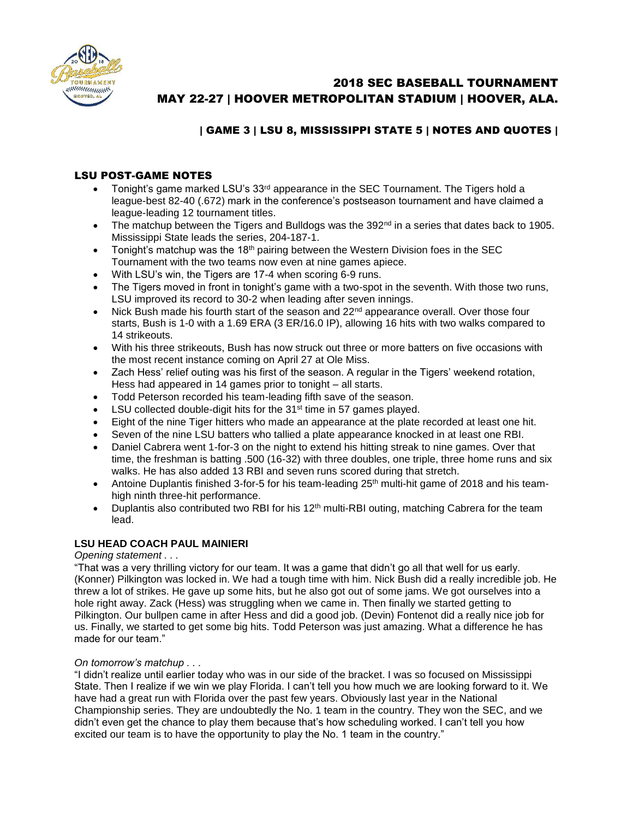

# 2018 SEC BASEBALL TOURNAMENT MAY 22-27 | HOOVER METROPOLITAN STADIUM | HOOVER, ALA.

# | GAME 3 | LSU 8, MISSISSIPPI STATE 5 | NOTES AND QUOTES |

## LSU POST-GAME NOTES

- Tonight's game marked LSU's  $33<sup>rd</sup>$  appearance in the SEC Tournament. The Tigers hold a league-best 82-40 (.672) mark in the conference's postseason tournament and have claimed a league-leading 12 tournament titles.
- $\bullet$  The matchup between the Tigers and Bulldogs was the 392<sup>nd</sup> in a series that dates back to 1905. Mississippi State leads the series, 204-187-1.
- Tonight's matchup was the  $18<sup>th</sup>$  pairing between the Western Division foes in the SEC Tournament with the two teams now even at nine games apiece.
- With LSU's win, the Tigers are 17-4 when scoring 6-9 runs.
- The Tigers moved in front in tonight's game with a two-spot in the seventh. With those two runs, LSU improved its record to 30-2 when leading after seven innings.
- $\bullet$  Nick Bush made his fourth start of the season and 22<sup>nd</sup> appearance overall. Over those four starts, Bush is 1-0 with a 1.69 ERA (3 ER/16.0 IP), allowing 16 hits with two walks compared to 14 strikeouts.
- With his three strikeouts, Bush has now struck out three or more batters on five occasions with the most recent instance coming on April 27 at Ole Miss.
- Zach Hess' relief outing was his first of the season. A regular in the Tigers' weekend rotation, Hess had appeared in 14 games prior to tonight – all starts.
- Todd Peterson recorded his team-leading fifth save of the season.
- $\bullet$  LSU collected double-digit hits for the 31<sup>st</sup> time in 57 games played.
- Eight of the nine Tiger hitters who made an appearance at the plate recorded at least one hit.
- Seven of the nine LSU batters who tallied a plate appearance knocked in at least one RBI.
- Daniel Cabrera went 1-for-3 on the night to extend his hitting streak to nine games. Over that time, the freshman is batting .500 (16-32) with three doubles, one triple, three home runs and six walks. He has also added 13 RBI and seven runs scored during that stretch.
- Antoine Duplantis finished 3-for-5 for his team-leading  $25<sup>th</sup>$  multi-hit game of 2018 and his teamhigh ninth three-hit performance.
- Duplantis also contributed two RBI for his  $12<sup>th</sup>$  multi-RBI outing, matching Cabrera for the team lead.

### **LSU HEAD COACH PAUL MAINIERI**

#### *Opening statement . . .*

"That was a very thrilling victory for our team. It was a game that didn't go all that well for us early. (Konner) Pilkington was locked in. We had a tough time with him. Nick Bush did a really incredible job. He threw a lot of strikes. He gave up some hits, but he also got out of some jams. We got ourselves into a hole right away. Zack (Hess) was struggling when we came in. Then finally we started getting to Pilkington. Our bullpen came in after Hess and did a good job. (Devin) Fontenot did a really nice job for us. Finally, we started to get some big hits. Todd Peterson was just amazing. What a difference he has made for our team."

#### *On tomorrow's matchup . . .*

"I didn't realize until earlier today who was in our side of the bracket. I was so focused on Mississippi State. Then I realize if we win we play Florida. I can't tell you how much we are looking forward to it. We have had a great run with Florida over the past few years. Obviously last year in the National Championship series. They are undoubtedly the No. 1 team in the country. They won the SEC, and we didn't even get the chance to play them because that's how scheduling worked. I can't tell you how excited our team is to have the opportunity to play the No. 1 team in the country."